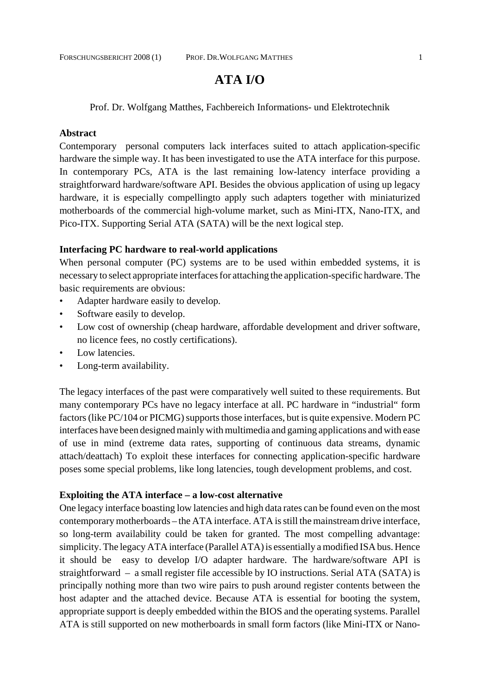# **ATA I/O**

Prof. Dr. Wolfgang Matthes, Fachbereich Informations- und Elektrotechnik

#### **Abstract**

Contemporary personal computers lack interfaces suited to attach application-specific hardware the simple way. It has been investigated to use the ATA interface for this purpose. In contemporary PCs, ATA is the last remaining low-latency interface providing a straightforward hardware/software API. Besides the obvious application of using up legacy hardware, it is especially compellingto apply such adapters together with miniaturized motherboards of the commercial high-volume market, such as Mini-ITX, Nano-ITX, and Pico-ITX. Supporting Serial ATA (SATA) will be the next logical step.

#### **Interfacing PC hardware to real-world applications**

When personal computer (PC) systems are to be used within embedded systems, it is necessary to select appropriate interfaces for attaching the application-specific hardware. The basic requirements are obvious:

- Adapter hardware easily to develop.
- Software easily to develop.
- Low cost of ownership (cheap hardware, affordable development and driver software, no licence fees, no costly certifications).
- Low latencies.
- Long-term availability.

The legacy interfaces of the past were comparatively well suited to these requirements. But many contemporary PCs have no legacy interface at all. PC hardware in "industrial" form factors (like PC/104 or PICMG) supports those interfaces, but is quite expensive. Modern PC interfaces have been designed mainly with multimedia and gaming applications and with ease of use in mind (extreme data rates, supporting of continuous data streams, dynamic attach/deattach) To exploit these interfaces for connecting application-specific hardware poses some special problems, like long latencies, tough development problems, and cost.

#### **Exploiting the ATA interface – a low-cost alternative**

One legacy interface boasting low latencies and high data rates can be found even on the most contemporary motherboards – the ATA interface. ATA is still the mainstream drive interface, so long-term availability could be taken for granted. The most compelling advantage: simplicity. The legacy ATA interface (Parallel ATA) is essentially a modified ISA bus. Hence it should be easy to develop I/O adapter hardware. The hardware/software API is straightforward – a small register file accessible by IO instructions. Serial ATA (SATA) is principally nothing more than two wire pairs to push around register contents between the host adapter and the attached device. Because ATA is essential for booting the system, appropriate support is deeply embedded within the BIOS and the operating systems. Parallel ATA is still supported on new motherboards in small form factors (like Mini-ITX or Nano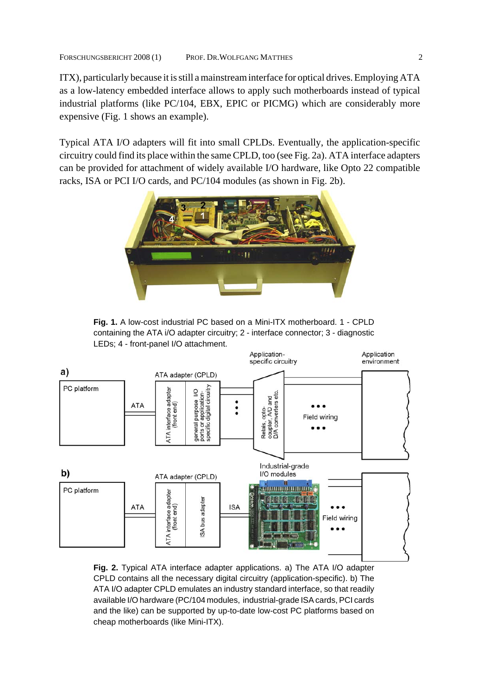ITX), particularly because it is still a mainstream interface for optical drives. Employing ATA as a low-latency embedded interface allows to apply such motherboards instead of typical industrial platforms (like PC/104, EBX, EPIC or PICMG) which are considerably more expensive (Fig. 1 shows an example).

Typical ATA I/O adapters will fit into small CPLDs. Eventually, the application-specific circuitry could find its place within the same CPLD, too (see Fig. 2a). ATA interface adapters can be provided for attachment of widely available I/O hardware, like Opto 22 compatible racks, ISA or PCI I/O cards, and PC/104 modules (as shown in Fig. 2b).



**Fig. 1.** A low-cost industrial PC based on a Mini-ITX motherboard. 1 - CPLD containing the ATA i/O adapter circuitry; 2 - interface connector; 3 - diagnostic LEDs; 4 - front-panel I/O attachment.



**Fig. 2.** Typical ATA interface adapter applications. a) The ATA I/O adapter CPLD contains all the necessary digital circuitry (application-specific). b) The ATA I/O adapter CPLD emulates an industry standard interface, so that readily available I/O hardware (PC/104 modules, industrial-grade ISA cards, PCI cards and the like) can be supported by up-to-date low-cost PC platforms based on cheap motherboards (like Mini-ITX).